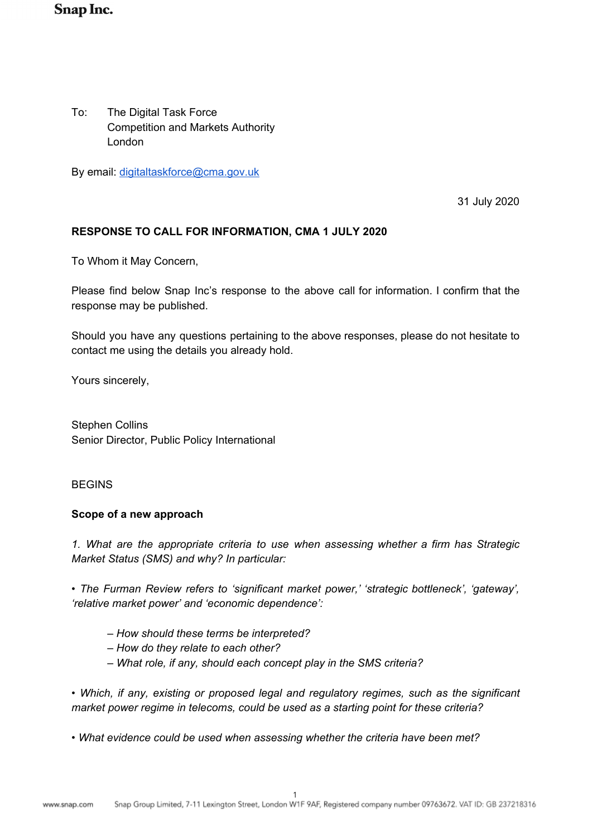# **Snap Inc.**

To: The Digital Task Force Competition and Markets Authority London

By email: [digitaltaskforce@cma.gov.uk](mailto:digitaltaskforce@cma.gov.uk)

31 July 2020

## **RESPONSE TO CALL FOR INFORMATION, CMA 1 JULY 2020**

To Whom it May Concern,

Please find below Snap Inc's response to the above call for information. I confirm that the response may be published.

Should you have any questions pertaining to the above responses, please do not hesitate to contact me using the details you already hold.

Yours sincerely,

Stephen Collins Senior Director, Public Policy International

#### BEGINS

#### **Scope of a new approach**

*1. What are the appropriate criteria to use when assessing whether a firm has Strategic Market Status (SMS) and why? In particular:* 

*• The Furman Review refers to 'significant market power,' 'strategic bottleneck', 'gateway', 'relative market power' and 'economic dependence':* 

- *How should these terms be interpreted?*
- *How do they relate to each other?*
- *What role, if any, should each concept play in the SMS criteria?*

• Which, if any, existing or proposed legal and regulatory regimes, such as the significant *market power regime in telecoms, could be used as a starting point for these criteria?* 

*• What evidence could be used when assessing whether the criteria have been met?*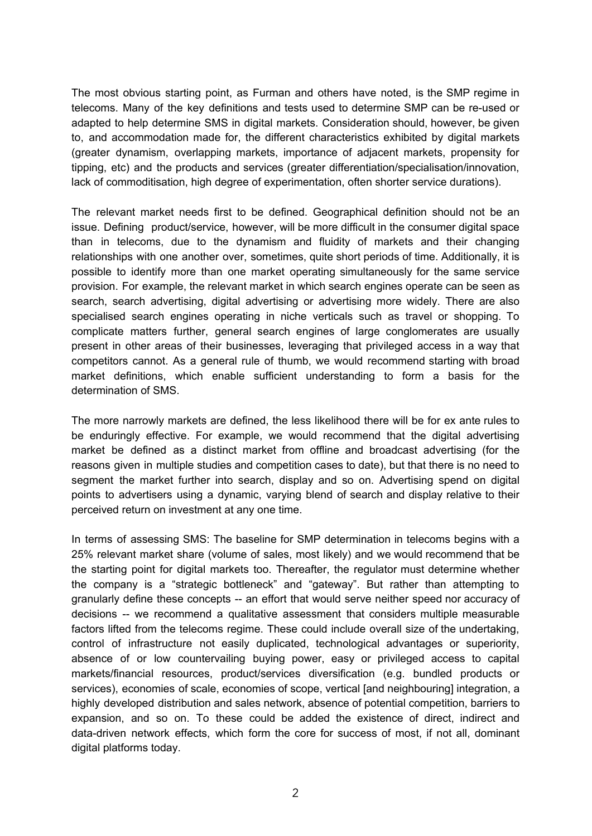The most obvious starting point, as Furman and others have noted, is the SMP regime in telecoms. Many of the key definitions and tests used to determine SMP can be re-used or adapted to help determine SMS in digital markets. Consideration should, however, be given to, and accommodation made for, the different characteristics exhibited by digital markets (greater dynamism, overlapping markets, importance of adjacent markets, propensity for tipping, etc) and the products and services (greater differentiation/specialisation/innovation, lack of commoditisation, high degree of experimentation, often shorter service durations).

The relevant market needs first to be defined. Geographical definition should not be an issue. Defining product/service, however, will be more difficult in the consumer digital space than in telecoms, due to the dynamism and fluidity of markets and their changing relationships with one another over, sometimes, quite short periods of time. Additionally, it is possible to identify more than one market operating simultaneously for the same service provision. For example, the relevant market in which search engines operate can be seen as search, search advertising, digital advertising or advertising more widely. There are also specialised search engines operating in niche verticals such as travel or shopping. To complicate matters further, general search engines of large conglomerates are usually present in other areas of their businesses, leveraging that privileged access in a way that competitors cannot. As a general rule of thumb, we would recommend starting with broad market definitions, which enable sufficient understanding to form a basis for the determination of SMS.

The more narrowly markets are defined, the less likelihood there will be for ex ante rules to be enduringly effective. For example, we would recommend that the digital advertising market be defined as a distinct market from offline and broadcast advertising (for the reasons given in multiple studies and competition cases to date), but that there is no need to segment the market further into search, display and so on. Advertising spend on digital points to advertisers using a dynamic, varying blend of search and display relative to their perceived return on investment at any one time.

In terms of assessing SMS: The baseline for SMP determination in telecoms begins with a 25% relevant market share (volume of sales, most likely) and we would recommend that be the starting point for digital markets too. Thereafter, the regulator must determine whether the company is a "strategic bottleneck" and "gateway". But rather than attempting to granularly define these concepts -- an effort that would serve neither speed nor accuracy of decisions -- we recommend a qualitative assessment that considers multiple measurable factors lifted from the telecoms regime. These could include overall size of the undertaking, control of infrastructure not easily duplicated, technological advantages or superiority, absence of or low countervailing buying power, easy or privileged access to capital markets/financial resources, product/services diversification (e.g. bundled products or services), economies of scale, economies of scope, vertical [and neighbouring] integration, a highly developed distribution and sales network, absence of potential competition, barriers to expansion, and so on. To these could be added the existence of direct, indirect and data-driven network effects, which form the core for success of most, if not all, dominant digital platforms today.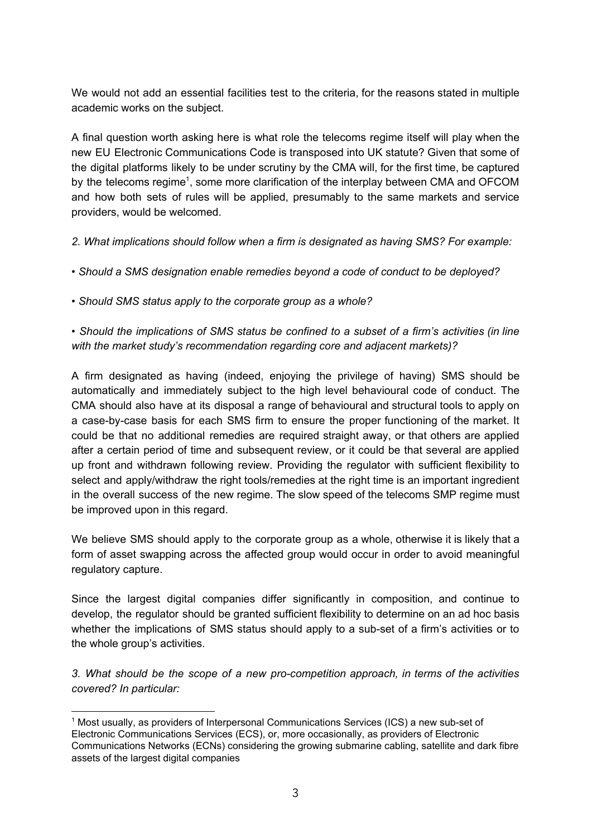We would not add an essential facilities test to the criteria, for the reasons stated in multiple academic works on the subject.

A final question worth asking here is what role the telecoms regime itself will play when the new EU Electronic Communications Code is transposed into UK statute? Given that some of the digital platforms likely to be under scrutiny by the CMA will, for the first time, be captured by the telecoms regime<sup>1</sup>, some more clarification of the interplay between CMA and OFCOM and how both sets of rules will be applied, presumably to the same markets and service providers, would be welcomed.

*2. What implications should follow when a firm is designated as having SMS? For example:* 

*• Should a SMS designation enable remedies beyond a code of conduct to be deployed?* 

*• Should SMS status apply to the corporate group as a whole?* 

*• Should the implications of SMS status be confined to a subset of a firm's activities (in line with the market study's recommendation regarding core and adjacent markets)?* 

A firm designated as having (indeed, enjoying the privilege of having) SMS should be automatically and immediately subject to the high level behavioural code of conduct. The CMA should also have at its disposal a range of behavioural and structural tools to apply on a case-by-case basis for each SMS firm to ensure the proper functioning of the market. It could be that no additional remedies are required straight away, or that others are applied after a certain period of time and subsequent review, or it could be that several are applied up front and withdrawn following review. Providing the regulator with sufficient flexibility to select and apply/withdraw the right tools/remedies at the right time is an important ingredient in the overall success of the new regime. The slow speed of the telecoms SMP regime must be improved upon in this regard.

We believe SMS should apply to the corporate group as a whole, otherwise it is likely that a form of asset swapping across the affected group would occur in order to avoid meaningful regulatory capture.

Since the largest digital companies differ significantly in composition, and continue to develop, the regulator should be granted sufficient flexibility to determine on an ad hoc basis whether the implications of SMS status should apply to a sub-set of a firm's activities or to the whole group's activities.

*3. What should be the scope of a new pro-competition approach, in terms of the activities covered? In particular:* 

<sup>1</sup> Most usually, as providers of Interpersonal Communications Services (ICS) a new sub-set of Electronic Communications Services (ECS), or, more occasionally, as providers of Electronic Communications Networks (ECNs) considering the growing submarine cabling, satellite and dark fibre assets of the largest digital companies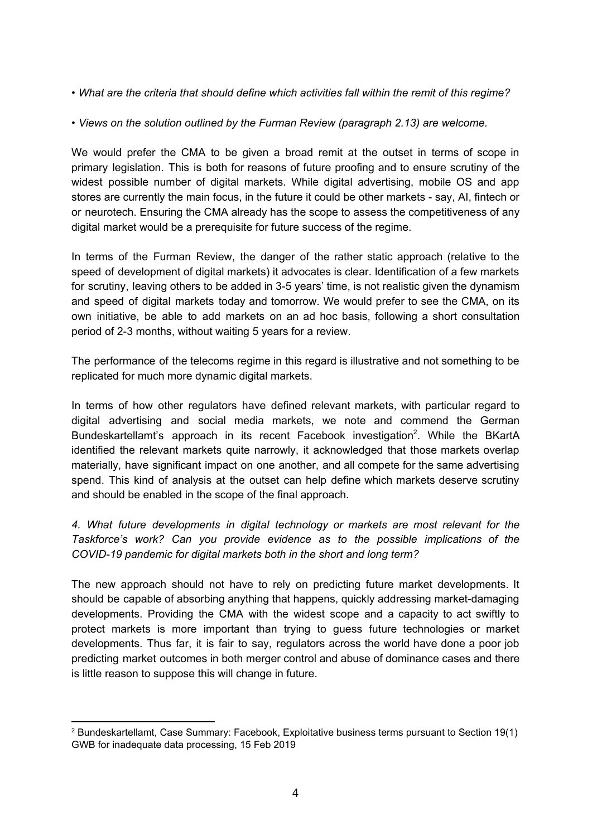- *What are the criteria that should define which activities fall within the remit of this regime?*
- *Views on the solution outlined by the Furman Review (paragraph 2.13) are welcome.*

We would prefer the CMA to be given a broad remit at the outset in terms of scope in primary legislation. This is both for reasons of future proofing and to ensure scrutiny of the widest possible number of digital markets. While digital advertising, mobile OS and app stores are currently the main focus, in the future it could be other markets - say, AI, fintech or or neurotech. Ensuring the CMA already has the scope to assess the competitiveness of any digital market would be a prerequisite for future success of the regime.

In terms of the Furman Review, the danger of the rather static approach (relative to the speed of development of digital markets) it advocates is clear. Identification of a few markets for scrutiny, leaving others to be added in 3-5 years' time, is not realistic given the dynamism and speed of digital markets today and tomorrow. We would prefer to see the CMA, on its own initiative, be able to add markets on an ad hoc basis, following a short consultation period of 2-3 months, without waiting 5 years for a review.

The performance of the telecoms regime in this regard is illustrative and not something to be replicated for much more dynamic digital markets.

In terms of how other regulators have defined relevant markets, with particular regard to digital advertising and social media markets, we note and commend the German Bundeskartellamt's approach in its recent Facebook investigation<sup>2</sup>. While the BKartA identified the relevant markets quite narrowly, it acknowledged that those markets overlap materially, have significant impact on one another, and all compete for the same advertising spend. This kind of analysis at the outset can help define which markets deserve scrutiny and should be enabled in the scope of the final approach.

*4. What future developments in digital technology or markets are most relevant for the Taskforce's work? Can you provide evidence as to the possible implications of the COVID-19 pandemic for digital markets both in the short and long term?* 

The new approach should not have to rely on predicting future market developments. It should be capable of absorbing anything that happens, quickly addressing market-damaging developments. Providing the CMA with the widest scope and a capacity to act swiftly to protect markets is more important than trying to guess future technologies or market developments. Thus far, it is fair to say, regulators across the world have done a poor job predicting market outcomes in both merger control and abuse of dominance cases and there is little reason to suppose this will change in future.

<sup>&</sup>lt;sup>2</sup> Bundeskartellamt, Case Summary: Facebook, Exploitative business terms pursuant to Section 19(1) GWB for inadequate data processing, 15 Feb 2019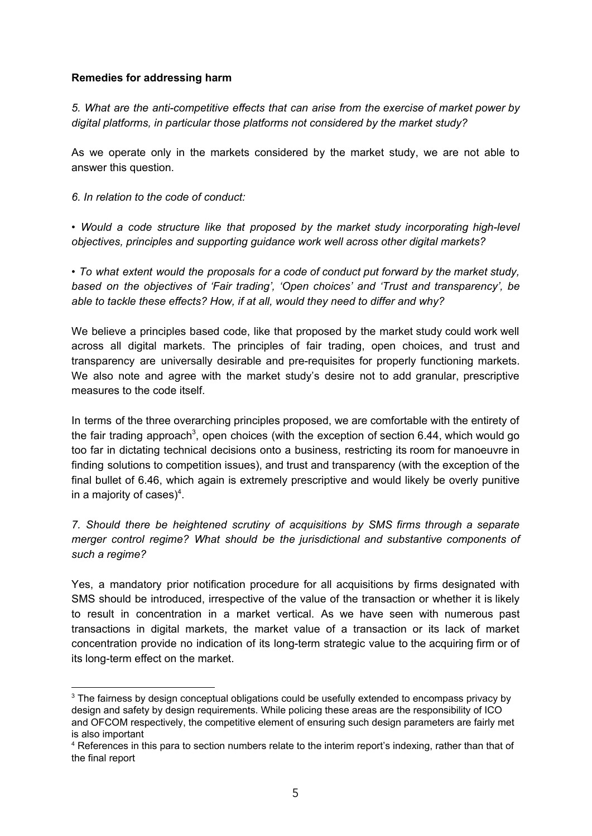## **Remedies for addressing harm**

*5. What are the anti-competitive effects that can arise from the exercise of market power by digital platforms, in particular those platforms not considered by the market study?* 

As we operate only in the markets considered by the market study, we are not able to answer this question.

*6. In relation to the code of conduct:* 

• Would a code structure like that proposed by the market study incorporating high-level *objectives, principles and supporting guidance work well across other digital markets?* 

*• To what extent would the proposals for a code of conduct put forward by the market study, based on the objectives of 'Fair trading', 'Open choices' and 'Trust and transparency', be able to tackle these effects? How, if at all, would they need to differ and why?* 

We believe a principles based code, like that proposed by the market study could work well across all digital markets. The principles of fair trading, open choices, and trust and transparency are universally desirable and pre-requisites for properly functioning markets. We also note and agree with the market study's desire not to add granular, prescriptive measures to the code itself.

In terms of the three overarching principles proposed, we are comfortable with the entirety of the fair trading approach<sup>3</sup>, open choices (with the exception of section 6.44, which would go too far in dictating technical decisions onto a business, restricting its room for manoeuvre in finding solutions to competition issues), and trust and transparency (with the exception of the final bullet of 6.46, which again is extremely prescriptive and would likely be overly punitive in a majority of cases $)^4$ .

*7. Should there be heightened scrutiny of acquisitions by SMS firms through a separate merger control regime? What should be the jurisdictional and substantive components of such a regime?* 

Yes, a mandatory prior notification procedure for all acquisitions by firms designated with SMS should be introduced, irrespective of the value of the transaction or whether it is likely to result in concentration in a market vertical. As we have seen with numerous past transactions in digital markets, the market value of a transaction or its lack of market concentration provide no indication of its long-term strategic value to the acquiring firm or of its long-term effect on the market.

 $3$  The fairness by design conceptual obligations could be usefully extended to encompass privacy by design and safety by design requirements. While policing these areas are the responsibility of ICO and OFCOM respectively, the competitive element of ensuring such design parameters are fairly met is also important

<sup>&</sup>lt;sup>4</sup> References in this para to section numbers relate to the interim report's indexing, rather than that of the final report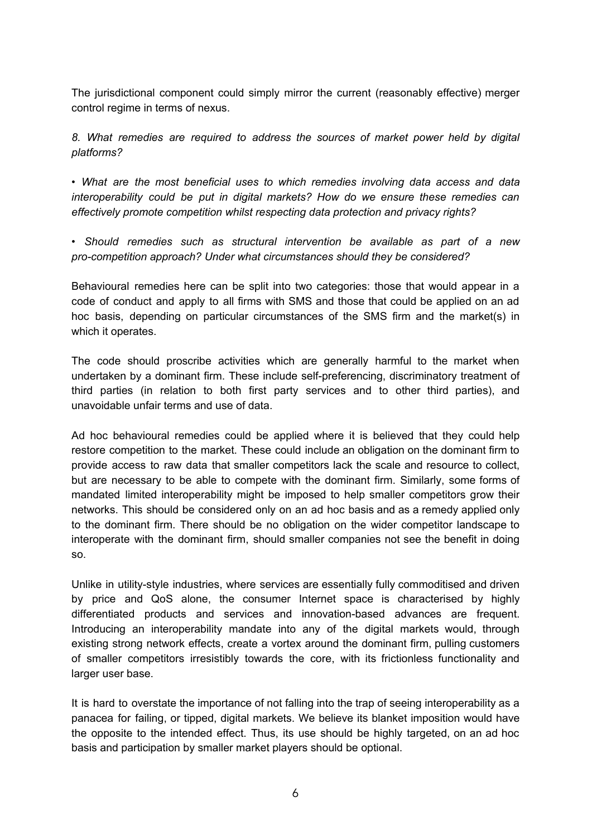The jurisdictional component could simply mirror the current (reasonably effective) merger control regime in terms of nexus.

*8. What remedies are required to address the sources of market power held by digital platforms?* 

*• What are the most beneficial uses to which remedies involving data access and data interoperability could be put in digital markets? How do we ensure these remedies can effectively promote competition whilst respecting data protection and privacy rights?* 

*• Should remedies such as structural intervention be available as part of a new pro-competition approach? Under what circumstances should they be considered?* 

Behavioural remedies here can be split into two categories: those that would appear in a code of conduct and apply to all firms with SMS and those that could be applied on an ad hoc basis, depending on particular circumstances of the SMS firm and the market(s) in which it operates.

The code should proscribe activities which are generally harmful to the market when undertaken by a dominant firm. These include self-preferencing, discriminatory treatment of third parties (in relation to both first party services and to other third parties), and unavoidable unfair terms and use of data.

Ad hoc behavioural remedies could be applied where it is believed that they could help restore competition to the market. These could include an obligation on the dominant firm to provide access to raw data that smaller competitors lack the scale and resource to collect, but are necessary to be able to compete with the dominant firm. Similarly, some forms of mandated limited interoperability might be imposed to help smaller competitors grow their networks. This should be considered only on an ad hoc basis and as a remedy applied only to the dominant firm. There should be no obligation on the wider competitor landscape to interoperate with the dominant firm, should smaller companies not see the benefit in doing so.

Unlike in utility-style industries, where services are essentially fully commoditised and driven by price and QoS alone, the consumer Internet space is characterised by highly differentiated products and services and innovation-based advances are frequent. Introducing an interoperability mandate into any of the digital markets would, through existing strong network effects, create a vortex around the dominant firm, pulling customers of smaller competitors irresistibly towards the core, with its frictionless functionality and larger user base.

It is hard to overstate the importance of not falling into the trap of seeing interoperability as a panacea for failing, or tipped, digital markets. We believe its blanket imposition would have the opposite to the intended effect. Thus, its use should be highly targeted, on an ad hoc basis and participation by smaller market players should be optional.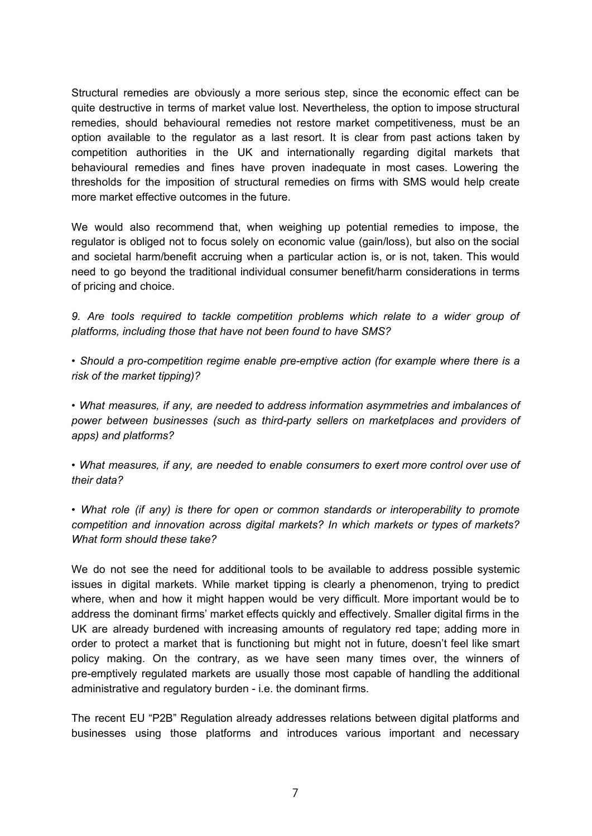Structural remedies are obviously a more serious step, since the economic effect can be quite destructive in terms of market value lost. Nevertheless, the option to impose structural remedies, should behavioural remedies not restore market competitiveness, must be an option available to the regulator as a last resort. It is clear from past actions taken by competition authorities in the UK and internationally regarding digital markets that behavioural remedies and fines have proven inadequate in most cases. Lowering the thresholds for the imposition of structural remedies on firms with SMS would help create more market effective outcomes in the future.

We would also recommend that, when weighing up potential remedies to impose, the regulator is obliged not to focus solely on economic value (gain/loss), but also on the social and societal harm/benefit accruing when a particular action is, or is not, taken. This would need to go beyond the traditional individual consumer benefit/harm considerations in terms of pricing and choice.

*9. Are tools required to tackle competition problems which relate to a wider group of platforms, including those that have not been found to have SMS?* 

*• Should a pro-competition regime enable pre-emptive action (for example where there is a risk of the market tipping)?* 

*• What measures, if any, are needed to address information asymmetries and imbalances of power between businesses (such as third-party sellers on marketplaces and providers of apps) and platforms?* 

*• What measures, if any, are needed to enable consumers to exert more control over use of their data?* 

*• What role (if any) is there for open or common standards or interoperability to promote competition and innovation across digital markets? In which markets or types of markets? What form should these take?* 

We do not see the need for additional tools to be available to address possible systemic issues in digital markets. While market tipping is clearly a phenomenon, trying to predict where, when and how it might happen would be very difficult. More important would be to address the dominant firms' market effects quickly and effectively. Smaller digital firms in the UK are already burdened with increasing amounts of regulatory red tape; adding more in order to protect a market that is functioning but might not in future, doesn't feel like smart policy making. On the contrary, as we have seen many times over, the winners of pre-emptively regulated markets are usually those most capable of handling the additional administrative and regulatory burden - i.e. the dominant firms.

The recent EU "P2B" Regulation already addresses relations between digital platforms and businesses using those platforms and introduces various important and necessary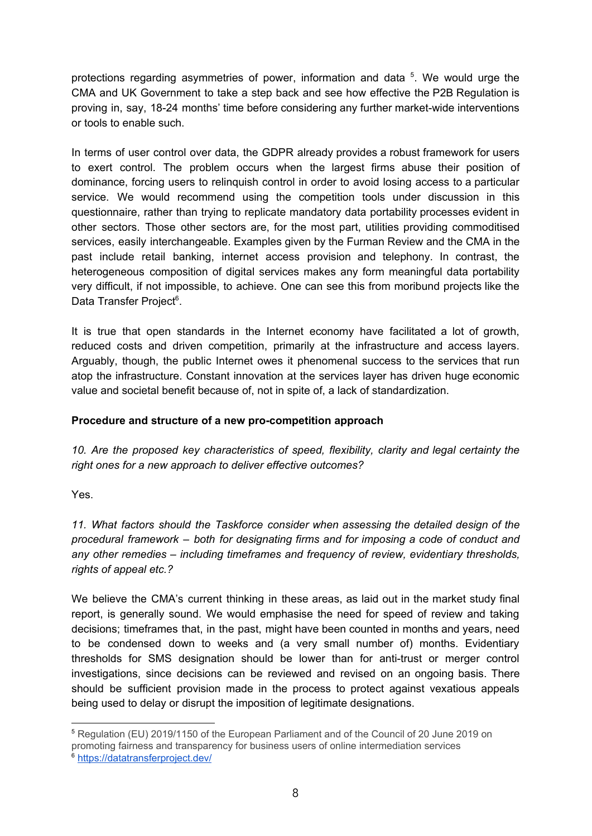protections regarding asymmetries of power, information and data <sup>5</sup>. We would urge the CMA and UK Government to take a step back and see how effective the P2B Regulation is proving in, say, 18-24 months' time before considering any further market-wide interventions or tools to enable such.

In terms of user control over data, the GDPR already provides a robust framework for users to exert control. The problem occurs when the largest firms abuse their position of dominance, forcing users to relinquish control in order to avoid losing access to a particular service. We would recommend using the competition tools under discussion in this questionnaire, rather than trying to replicate mandatory data portability processes evident in other sectors. Those other sectors are, for the most part, utilities providing commoditised services, easily interchangeable. Examples given by the Furman Review and the CMA in the past include retail banking, internet access provision and telephony. In contrast, the heterogeneous composition of digital services makes any form meaningful data portability very difficult, if not impossible, to achieve. One can see this from moribund projects like the Data Transfer Project<sup>6</sup>.

It is true that open standards in the Internet economy have facilitated a lot of growth, reduced costs and driven competition, primarily at the infrastructure and access layers. Arguably, though, the public Internet owes it phenomenal success to the services that run atop the infrastructure. Constant innovation at the services layer has driven huge economic value and societal benefit because of, not in spite of, a lack of standardization.

# **Procedure and structure of a new pro-competition approach**

*10. Are the proposed key characteristics of speed, flexibility, clarity and legal certainty the right ones for a new approach to deliver effective outcomes?* 

Yes.

*11. What factors should the Taskforce consider when assessing the detailed design of the procedural framework – both for designating firms and for imposing a code of conduct and any other remedies – including timeframes and frequency of review, evidentiary thresholds, rights of appeal etc.?* 

We believe the CMA's current thinking in these areas, as laid out in the market study final report, is generally sound. We would emphasise the need for speed of review and taking decisions; timeframes that, in the past, might have been counted in months and years, need to be condensed down to weeks and (a very small number of) months. Evidentiary thresholds for SMS designation should be lower than for anti-trust or merger control investigations, since decisions can be reviewed and revised on an ongoing basis. There should be sufficient provision made in the process to protect against vexatious appeals being used to delay or disrupt the imposition of legitimate designations.

<sup>5</sup> Regulation (EU) 2019/1150 of the European Parliament and of the Council of 20 June 2019 on promoting fairness and transparency for business users of online intermediation services <sup>6</sup> <https://datatransferproject.dev/>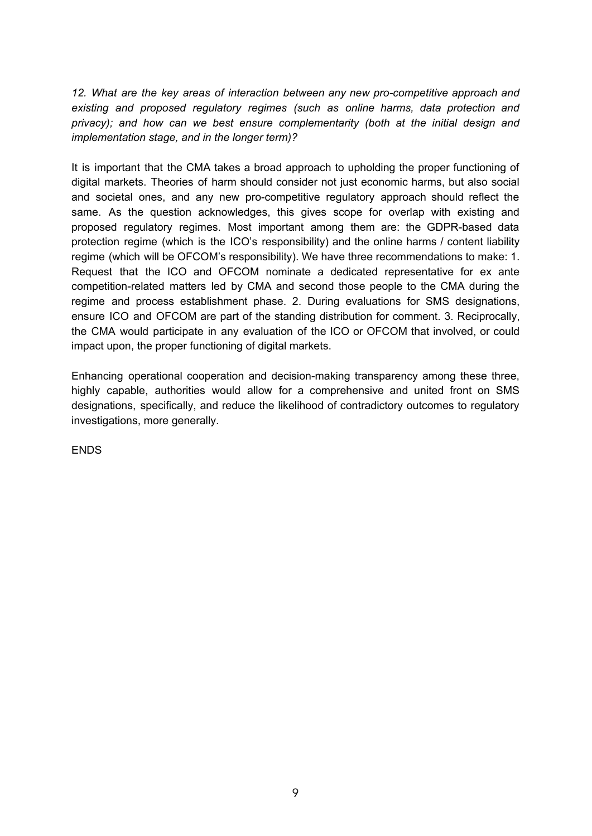*12. What are the key areas of interaction between any new pro-competitive approach and existing and proposed regulatory regimes (such as online harms, data protection and privacy); and how can we best ensure complementarity (both at the initial design and implementation stage, and in the longer term)?* 

It is important that the CMA takes a broad approach to upholding the proper functioning of digital markets. Theories of harm should consider not just economic harms, but also social and societal ones, and any new pro-competitive regulatory approach should reflect the same. As the question acknowledges, this gives scope for overlap with existing and proposed regulatory regimes. Most important among them are: the GDPR-based data protection regime (which is the ICO's responsibility) and the online harms / content liability regime (which will be OFCOM's responsibility). We have three recommendations to make: 1. Request that the ICO and OFCOM nominate a dedicated representative for ex ante competition-related matters led by CMA and second those people to the CMA during the regime and process establishment phase. 2. During evaluations for SMS designations, ensure ICO and OFCOM are part of the standing distribution for comment. 3. Reciprocally, the CMA would participate in any evaluation of the ICO or OFCOM that involved, or could impact upon, the proper functioning of digital markets.

Enhancing operational cooperation and decision-making transparency among these three, highly capable, authorities would allow for a comprehensive and united front on SMS designations, specifically, and reduce the likelihood of contradictory outcomes to regulatory investigations, more generally.

ENDS